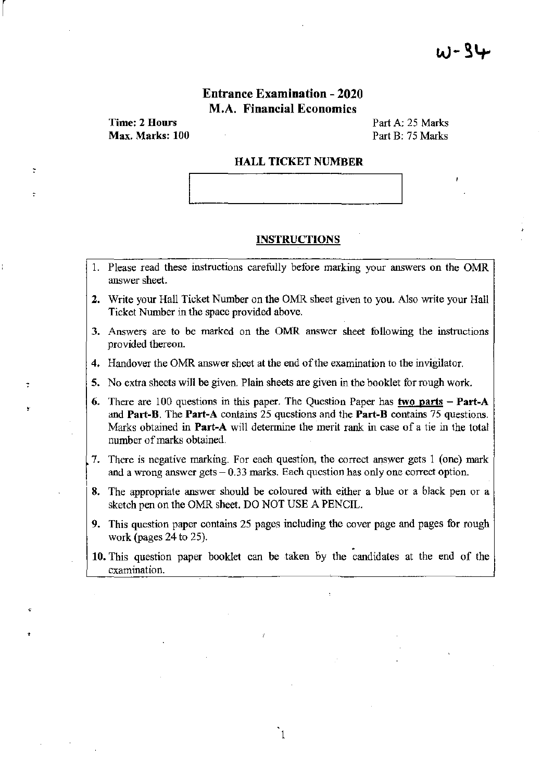## Entrance Examination - 2020 M.A. Financial Economics

Time: 2 Hours Max. Marks: 100

 $\begin{bmatrix} \phantom{-} \end{bmatrix}$ 

,

Part A: 25 Marks Part B: 75 Marks

#### HALL TICKET NUMBER

#### INSTRUCTIONS

- 1. Please read these instructions carefully before marking your answers on the OMR answer sheet.
- 2. Write your Hall Ticket Number on the OMR sheet given to you. Also write your Hall Ticket Number in the space provided above.
- 3. Answers are to be marked on the OMR answer sheet following the instructions provided thereon.
- 4. Handover the OMR answer sheet at the end of the examination to the invigilator.
- S. No extra sheets will be given. Plain sheets are given in the booklet for rough work.
- 6. There are 100 questions in this paper. The Question Paper has two parts  $-$  Part-A and Part-B. The Part-A contains 25 questions and the Part-B contains 75 questions. Marks obtained in **Part-A** will determine the merit rank in case of a tie in the total number of marks obtained.
- 7. There is negative marking. For each question, the correct answer gets 1 (one) mark and a wrong answer gets  $-0.33$  marks. Each question has only one correct option.
- S. The appropriate answer should be coloured with either a blue or a black pen or a sketch pen on the OMR sheet. DO NOT USE A PENCIL.
- 9. This question paper contains 25 pages including the cover page and pages for rough work (pages 24 to 25).  $\blacksquare$ <br>10. This question paper booklet can be taken by the candidates at the end of the
- examination.

1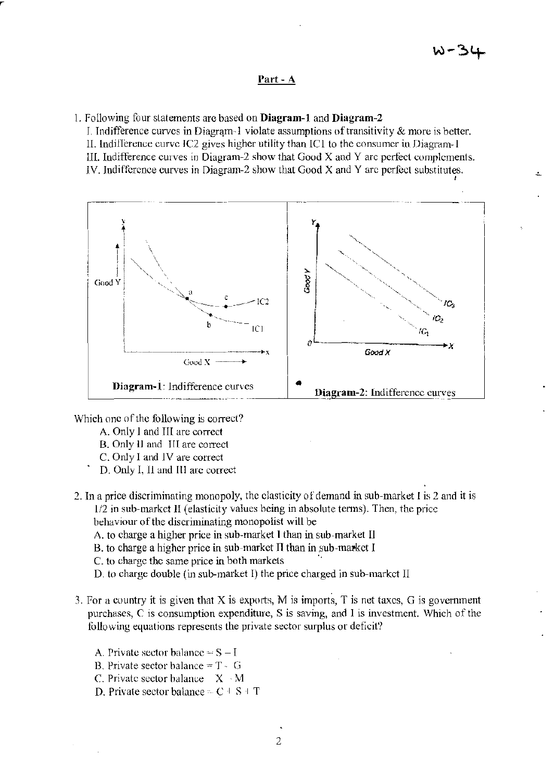#### Part - A

1. Following four statements arc based on Diagram-1 and Diagram-2

I. Indifference curves in Diagram-1 violate assumptions of transitivity  $\&$  more is better. II. Indifference curve IC2 gives higher utility than IC1 to the consumer in Diagram-1 III. Indifference curves in Diagram-2 show that Good  $X$  and  $Y$  arc perfect complements. IV. Indifference curves in Diagram-2 show that Good  $X$  and  $Y$  are perfect substitutes.



Which one of the following is correct?

- A. Only I and III are correct
- B. Only II and III are correct
- C. Only I and IV are correct
- D. Only I, 11 and III arc correct
- 2. In a price discriminating monopoly, thc elasticity of demand in sub-market I is 2 and it is  $1/2$  in sub-market II (elasticity values being in absolute terms). Then, the price behaviour of the discriminating monopolist will be
	- A. to charge a higher price in sub-market I than in sub-market II
	- B. to charge a higher price in sub-market II than in sub-market I
	- C. to charge the same price in both markets
	- D. to charge double (in sub-market I) the price charged in sub-markct II
- 3. For a country it is given that X is exports, M is imports, T is net taxes, G is government purchases, C is consumption expenditure, S is saving, and I is investment. Which of the following equations represents the private sector surplus or deficit?
	- A. Private sector balance  $S I$
	- B. Private sector balance  $= T G$
	- C. Private sector balance  $X \cdot M$
	- D. Private sector balance  $-C \perp S + T$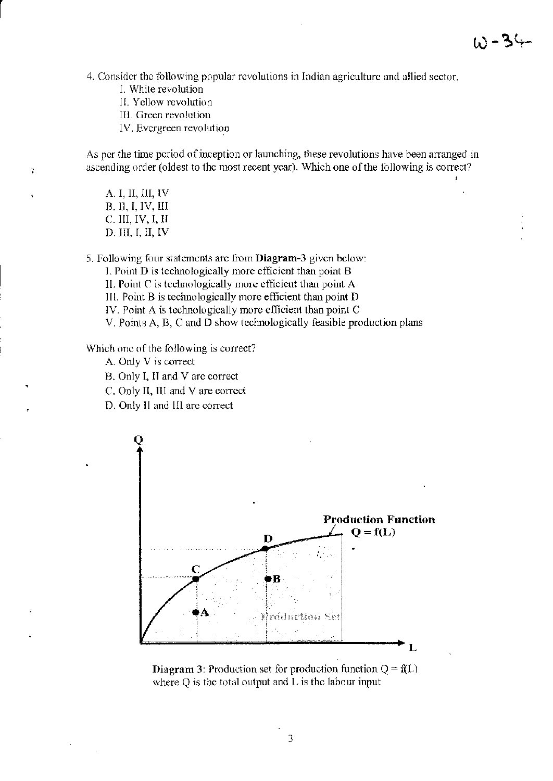4. Consider the tollowing popular revolutions in Indian agriculture and allied sector.

L While revolution

r

 $\overline{z}$ 

- I!. Yellow revolution
- III. Green revolution
- IV. Evergreen revolution

As per the time period of inception or launching, these revolutions have been arranged in ascending order (oldest to the most recent year). Which one of the following is correct?

A. I, II, III, IV B. n, I, IV, III c:. III, IV, 1, II D. m, I, II, IV

5. Following four statements are from **Diagram-3** given below:

1. Point D is teclmoiogically more etftcient than point B

II. Point C is technologically more efficient than point A

III. Point  $B$  is technologically more efficient than point  $D$ 

IV. Point A is technologically more efficient than point C

V. Points A, B, C and D show technologically feasible production plans

Which one of the following is correct?

A. Only V is correct

B. Only I, II and V arc correct

C. Only II, III and V are correct

D. Only II and III arc correct



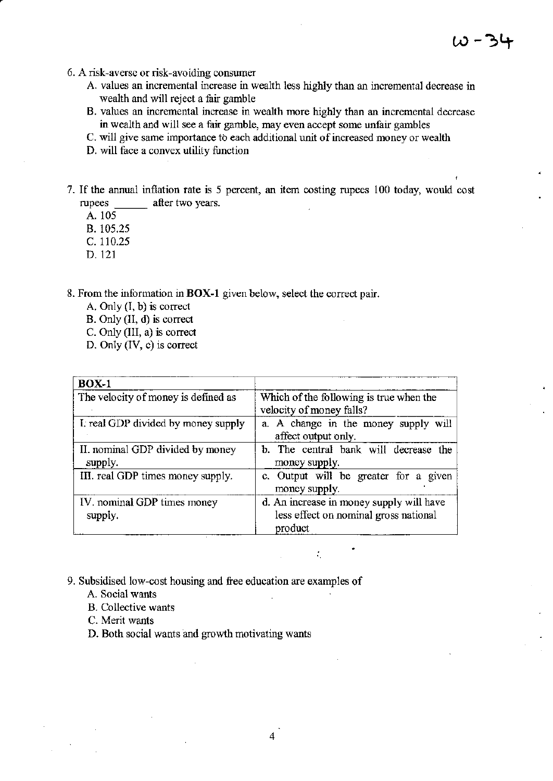- 6. A risk-averse or risk-avoiding consumer
	- A. values an incremental increase in wealth less highly than an incremental decrease in wealth and will reject a fair gamble
	- B. values an incremental increase in wealth more highly than an incremental decrease in wealth and will see a fair gamble, may even accept some unfair gambles
	- c. will give same importance to each additional unit of increased money or wealth
	- D. will face a convex utility function
- 7. If the annual inflation rate is 5 percent, an item costing rupees 100 today, would cost rupees after two years.
	- A. 105
	- B. 105.25
	- C. 110.25
	- D.121

8. From the information in BOX-1 given below, select the correct pair.

- A. Only (I. b) is corred
- B. Only (II, d) is corred
- C. Only (III, a) is corred
- D. Only (IV, c) is correct

| $BOX-1$                                     |                                                                                              |  |
|---------------------------------------------|----------------------------------------------------------------------------------------------|--|
| The velocity of money is defined as         | Which of the following is true when the<br>velocity of money falls?                          |  |
| I, real GDP divided by money supply         | a. A change in the money supply will<br>affect output only.                                  |  |
| II. nominal GDP divided by money<br>supply. | b. The central bank will decrease the<br>money supply.                                       |  |
| III. real GDP times money supply.           | c. Output will be greater for a given<br>money supply.                                       |  |
| IV. nominal GDP times money<br>supply.      | d. An increase in money supply will have<br>less effect on nominal gross national<br>product |  |

 $\mathcal{L}_\mathrm{c}$ 

- 9. Subsidised low-cost housing and free education are examples of
	- A. Social wants
	- B. Collective wants
	- C. Merit wants
	- D. Both social wants and growth motivating wants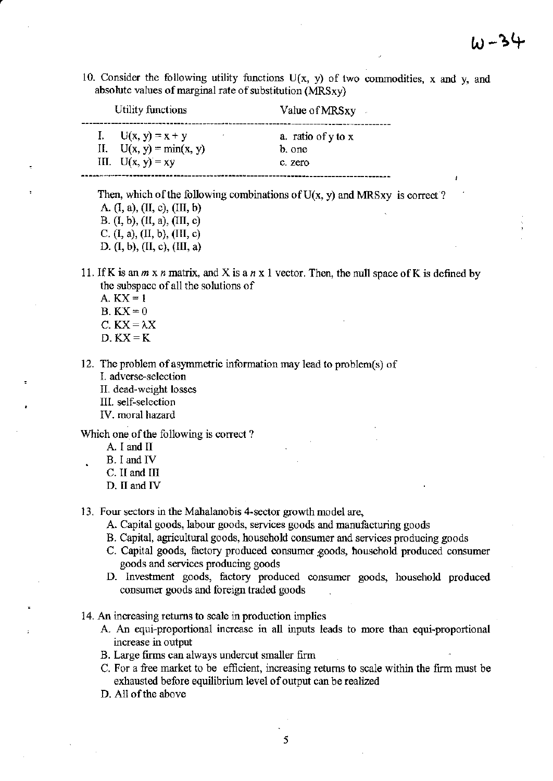10. Consider the following utility functions  $U(x, y)$  of two commodities, x and y, and absolute values of marginal rate of substitution (MRSxy)

| Utility functions         | Value of MRSxy     |
|---------------------------|--------------------|
| I. $U(x, y) = x + y$      | a. ratio of y to x |
| II. $U(x, y) = min(x, y)$ | b. one             |
| III. $U(x, y) = xy$       | c. zero            |

Then, which of the following combinations of  $U(x, y)$  and MRSxy is correct? A (I, a), (II, c), (III, b)

B, (I, b), (II, a), (III, c) C, (I, a), (II, b), (III, c) D. (I, b), (II, c), (III, a)

11. IfK is an *m* x *n* matrix, and X is a *n* x 1 vector. Then, the null space ofK is defined by the subspace of all the solutions of

- A,  $KX = 1$  $B$ ,  $KX=0$
- C.  $KX = \lambda X$
- $D$ .  $KX = K$

12. The problem of asymmetric information may lead to problem(s) of

- I. adverse~selection
- II. dead-weight losses
- III. self~selcction
- IV. moral hazard

Which one of the following is correct?

- A. I and II
- B, I and IV
- C. II and III
- D. II and IV
- 13. Four sectors in the Mahalanobis 4-sector growth model are,
	- A. Capital goods, labour goods, services goods and manufacturing goods
	- B. Capital, agricultural goods, household consumer and services producing goods
	- C. Capital goods, factory produced consumer goods, household produced consumer goods and services producing goods
	- D. Investment goods, factory produced consumer goods, household produced consumer goods and foreign traded goods
- 14. An increasing returns to scale in production implies
	- A. An equi-proportional increase in all inputs leads to more than equi-proportional increase in output
	- B. Large firms can always undercut smaller firm
	- C. For a free market to be efficient, increasing returns to scale within the firm must be exhausted before equilibrium level of output can be realized
	- D. All of the above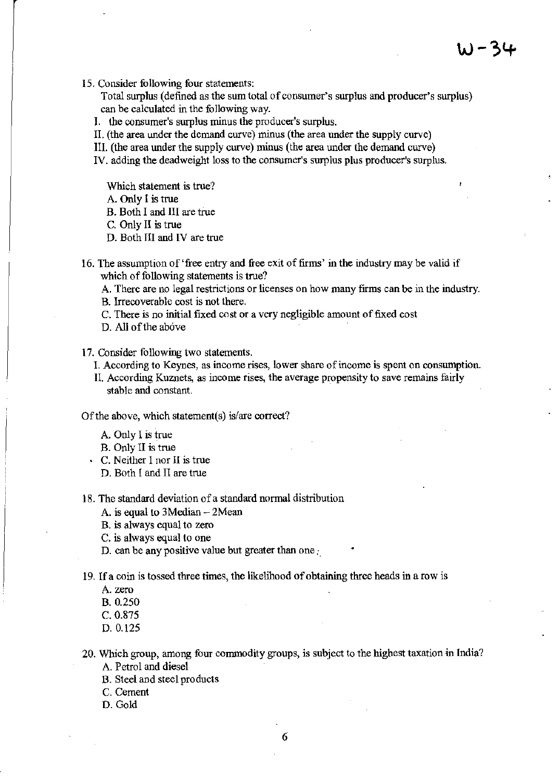**15. Consider following four statements:** 

**Total surplus (defined as the sum total** of consumer's **surplus and producer's surplus) can be calculated in the following way.** 

**1. the consumer's surplus minus the producer's surplus.** 

II. (the area under the demand curve) minus (the area under the supply curve)

III. (the area under the supply curve) minus (the area under the demand curve)

**IV. adding the deadweight loss to the consumer's surplus plus producer's surplus.** 

**Which statement is true?** 

A. Only I is true

B. Both I and III are true

C. Only II is true

D. Both III and IV are true

16. The assumption of 'free entry and free exit of firms' in the industry may be valid if **which** of following **statements is true?** 

**A. There are no legal restrictions or licenses on how many frrms can be in the industry.** 

**B. Irrecoverable cost is not there.** 

**C. There is no initial fixed cost or a very negligible amount of fixed cost** 

D. All of the above

**17. Consider following two statements,** 

**1. According to Keynes, as income rises, lower share** of income **is spent on consumption.** 

**II. According Kuznets, as income rises, the average propensity to save remains fairly stable and constant.** 

Of the **above, which statement(s) is/are correct?** 

A. Only I is true

B. Only II is true

**C. Neither I nor II is true** 

D. Both I and II are true

**18. The standard deviation of a standard normal distribution** 

A. is equal to 3Median - 2Mean

**B. is always equal to zero** 

**C. is always equal to one** 

**D. can be any positive value but greater than one:,** 

**19. If a coin is tossed three times, the likelihood of obtaining three heads in a row is** 

**A. zero** 

B. 0.250

C.0.875

D.0.125

**20. Which group, among four commodity groups, is subject to the highest taxation in India?**  A. Petrol and diesel

B. Steel and steel products

**C. Cement** 

D. Gold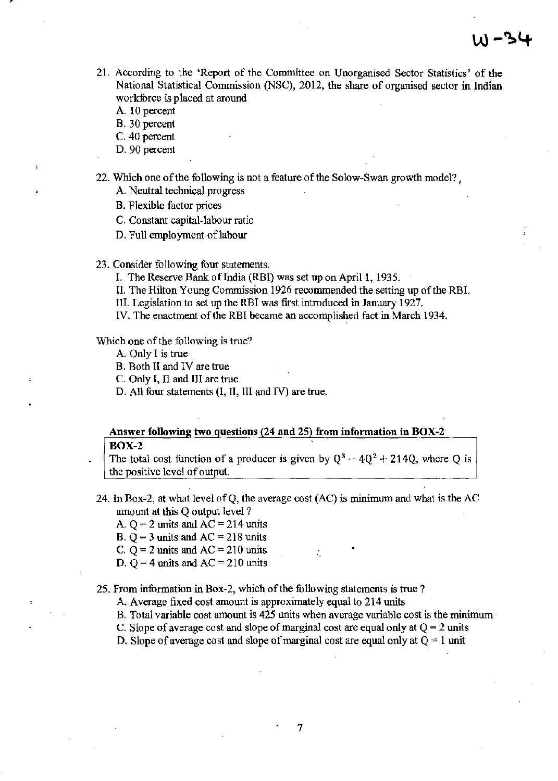- 21. According to the 'Report of the Committee on Unorganised Sector Statistics' of the National Statistical Commission (NSC), 2012, the share of organised sector in Indian workforce is placed at around
	- A. 10 percent
	- B. 30 percent
	- C. 40 percent
	- D. 90 percent
- 22. Which one of the following is not a feature of the Solow-Swan growth model? ,
	- A. Neutral technical progress
	- B. Flexible factor prices
	- C. Constant capital-labour ratio
	- D. Full employment of labour
- 23. Consider following four statements.
	- I. The Reserve Bank of India (RBI) was set up on April 1, 1935.
	- II. The Hilton Young Commission 1926 recommended the setting up of the RBI.
	- Ill. Legislation to set up the RBI was first introduced in January 1927.
	- IV. The enactment of the RBI became an accomplished fact in March 1934.

#### Which one of the following is true?

- A. Only I is true
- B. Both II and IV are true
- C. Only I, II and III are true
- D. All four statements (I, II, III and IV) are true.

# Answer following two questions (24 and 25) from information in BOX-2

#### BOX-2

The total cost function of a producer is given by  $Q^3 - 4Q^2 + 214Q$ , where Q is the positive level of output.

- 24. In Box-2, at what level ofQ, the average cost (AC) is minimum and what is the AC amount at this Q output level?
	- A.  $Q = 2$  units and  $AC = 214$  units
	- B.  $Q = 3$  units and  $AC = 218$  units
	- C.  $Q = 2$  units and  $AC = 210$  units
	- D. Q = 4 units and  $AC = 210$  units

#### 25. From information in Box-2, which of the following statements is true?

- A. Average fixed cost amount is approximately equal to 214 units
- B. Total variable cost amount is 425 units when average variable cost is the minimum
- C. Slope of average cost and slope of marginal cost are equal only at  $Q = 2$  units
- D. Slope of average cost and slope of marginal cost are equal only at  $Q = 1$  unit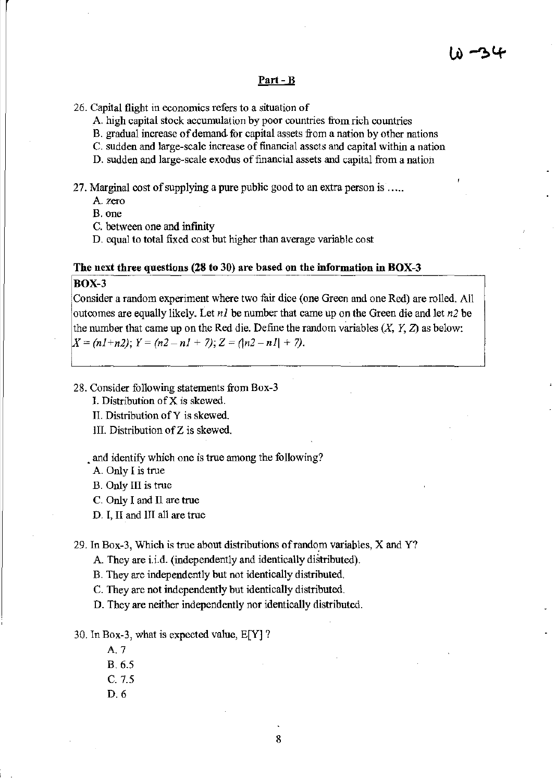#### Part - B

- 26. Capital flight in economics refers to a situation of
	- A. high capital stock accumulation by poor countries from rich countries
	- B. gradual increase of demand for capital assets from a nation by other nations
	- C. sudden and large-scale increase of financial assets and capital within a nation
	- D. sudden and large-scale exodus of financial assets and capital from a nation
- 27. Marginal cost of supplying a pure public good to an extra person is  $\ldots$ .

A. zero

B. one

- C. between one and infinity
- D. equal to total fixed cost but higher than average variable cost

#### The next three questions (28 to 30) are based on the information in BOX-3

#### BOX-3

Consider a random experiment where two fair dice (one Grecn and one Red) are rolled. All outcomes are equally likely. Let *nl* be number that came up on the Green die and let *n2* be the number that came up on the Red die. Define the random variables  $(X, Y, Z)$  as below:  $X = (n1+n2); Y = (n2-n1+7); Z = (n2-n1+7).$ 

- 28. Consider following statements from Box-3
	- I. Distribution of X is skewed.
	- II. Distribution of Y is skewed.
	- III. Distribution of Z is skewed.

and identify which one is true among the following?

A. Only I is true

B. Only III is true

- C. Only I and Il are true
- D. I, II and III all are true

29. In Box-3, Which is true about distributions of random variables,  $X$  and  $Y$ ?

A. They are i.i.d. (independently and identically distributed).

B. They are independently but not identically distributed.

C. They are not independently but identically distributed.

D. They are neither independently nor identically distributed.

30. In Box-3, what is expected value, E[Y] ?

A.7

B.6.5

C.7.5

D.6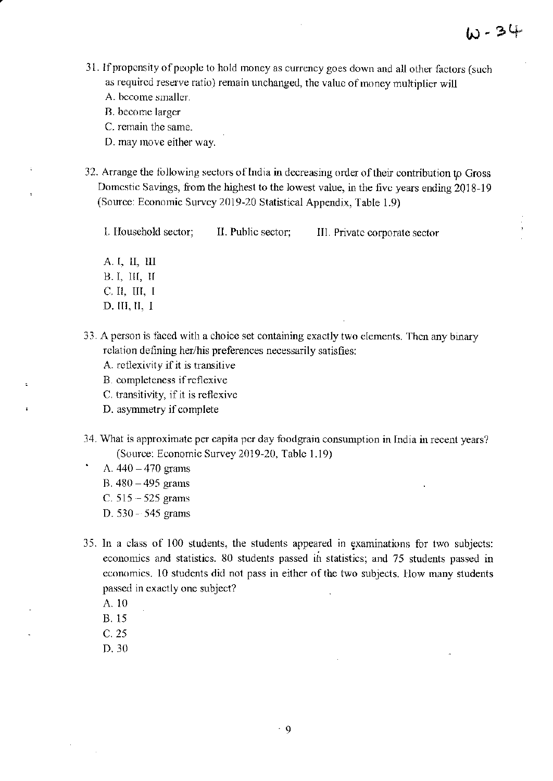- 3 L If propensity of people to hold money as currency goes down and aU other factors (such as required reserve ratio) remain unchanged, the value of money multiplier will
	- A. hccome smaller.
	- B. become larger

C. remain the same.

- D. may move either way.
- 32. Arrange the tollowing sectors ofIndia **in** decreasing order of their contribution *tp* Gross Domestic Savings, from the highest to the lowest value, in the five years ending 2018~ 19 (Source: Economic Survey 2019-20 Statistical Appendix, Table 1.9)

1. IIouschold sector; II. Public sector; III. Private corporate sector

A. I, II, !II ll. I, III, II C. II, III, I D. III, II, I

- 33. A person is faced with a choice set containing exactly two elements. Then any binary relation defining her/his preferences necessarily satisfies:
	- A. rcilexivity if it is transitive
	- B. completeness if reflexive
	- C. transitivity, if it is reflexive
	- D. asymmetry if complete
- 34. What is approximate per capita per day foodgrain consumption in India in recent years? (Souree: Economic Survey 2019~20, Table 1.19)
	- A.  $440 470$  grams
	- B.  $480 495$  grams
	- C.  $515 525$  grams
	- D. 530·· 545 grams
- 35. In a class of 100 students, the students appeared in examinations for two subjects: economics and statistics. 80 students passed ih statistics; and 75 students passed in economics. 10 students did not pass in either of the two subjects. How many students passed in exactly one subject?
	- A.IO
	- B. IS
	- C. 25
	- D.30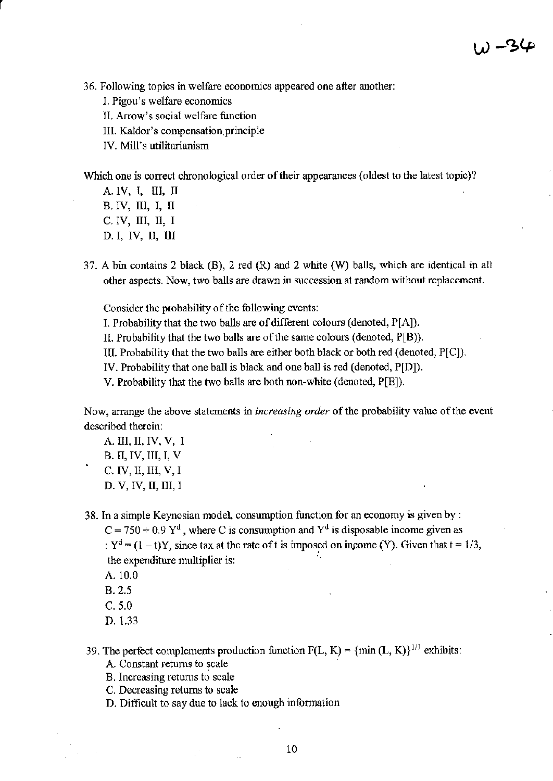**36. Following topics in welfare economics appeared one after another:** 

- **1. Pigou's welfare economics**
- **II. Arrow's social welfare function**

**III. Kaldor's compensation,principle** 

**IV. Mill's utilitarianism** 

**Which one is correct chronological order** of their **appearances (oldest to the latest topic)?** 

A. IV, I, III, II B. IV, III, I, II C. IV, III, II, I D. I, IV, II, III

r

37. A bin contains 2 black  $(B)$ , 2 red  $(R)$  and 2 white  $(W)$  balls, which are identical in all **other aspects. Now, two balls are drawn in succession at random without replacement.** 

**Consider the probability** of the **following events:** 

**1. Probability that the two balls are of different colours (denoted, P[AJ).** 

II. Probability that the two balls are ofthe same colours (denoted, P[B)).

III. Probability that the two balls are either both black or both red (denoted, P[C]).

IV. Probability that one ball is black and one ball is red (denoted, P[D]).

V. Probability that the two balls are both non-white (denoted, P[E]).

**Now, arrange the above statements in** *increasing order* of the **probability value** of the **event described therein:** 

- **A. III, II, IV, V, I**  B. II, IV, III, I, V C. IV, II, III, V, I D. V, IV, II, III, I
- **38. In a simple Keynesian model, consumption function for an economy is given by :**

 $C = 750 + 0.9 Y^d$ , where C is consumption and  $Y^d$  is disposable income given as :  $Y^d = (1 - t)Y$ , since tax at the rate of t is imposed on income (Y). Given that  $t = 1/3$ , **the expenditure multiplier is:**  '.

- A.IO.O
- B. 2.5
- C.5.0
- D. 1.33
- 39. The perfect complements production function  $F(L, K) = \{min (L, K)\}^{1/3}$  exhibits: **A. Constant returns to scale** 
	- **B. Increasing returns to scale**
	- **C. Decreasing returns to scale**
	- **D. Difficult to say due to lack to enough information**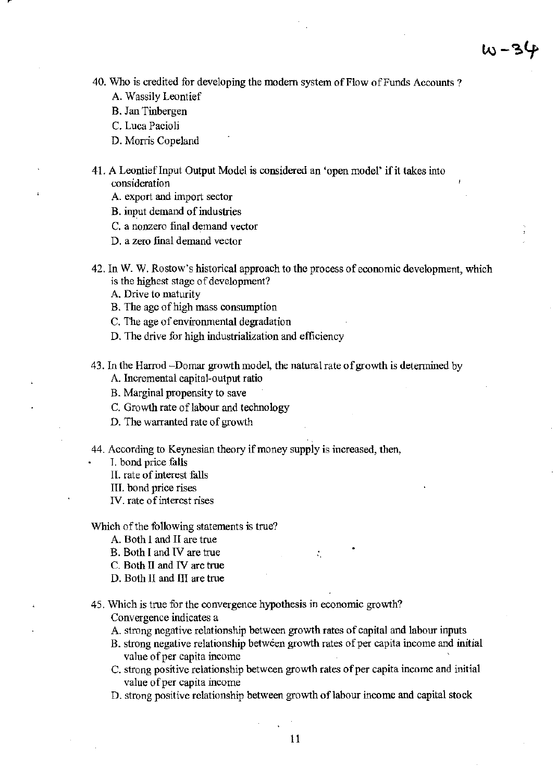- 40. Who is credited for developing the modem system of Flow of Funds Accounts?
	- A. Wassily Leontief
	- B. Jan Tinbergen
	- C. Luca Pacioli
	- D. Morris Copeland

41. A LeontiefInput Output Model is considered an 'open model' if it takes into consideration

- A. export and import sector
- B. input demand of industries
- C. a nonzero final demand vector
- D. a zero final demand vector

42. In W. W. Rostow's historical approach to the process of economic development, which is the highest stage of development?

- A. Drive to maturity
- B. The agc of high mass consumption
- C. The age of environmental degradation
- D. The drive for high industrialization and efficiency

43. In the Harrod -Domar growth model, the natural rate of growth is determined by

- A. Incremental capital-output ratio
- B. Marginal propensity to save
- C. Growth rate of labour and technology
- D. The warranted rate of growth
- 44. According to Keynesian theory if money supply is increased, then,
	- T. bond price falls
	- II. rate of interest falls
	- III. bond price rises
	- IV. ratc of interest rises

#### Which of the following statements is true?

- A. Both I and II are true
- B. Both I and IV are true
- C. Both II and IV are true
- D. Both II and III are true

45. Which is true for the convergence hypothesis in economic growth? Convergence indicates a

- A. strong negative relationship between growth rates of capital and labour inputs
- B. strong negative relationship between growth rates of per capita income and initial value of per capita income

Ñ,

- C. strong positive relationship between growth rates of per capita income and initial value of per capita income
- D. strong positive relationship between growth of labour income and capital stock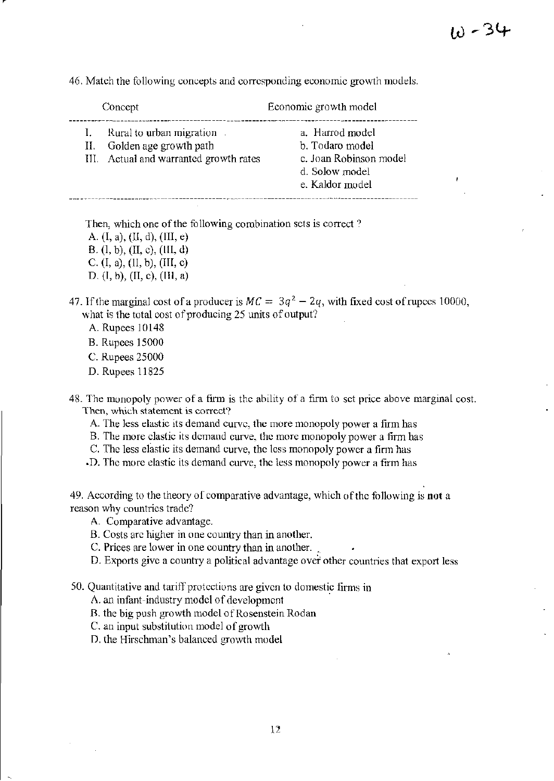46. Match the following concepts and corresponding economic growth models.

|                      | Concept                                                                                       | Economic growth model                                                                             |
|----------------------|-----------------------------------------------------------------------------------------------|---------------------------------------------------------------------------------------------------|
| $\mathbf{I}$ .<br>П. | Rural to urban migration.<br>Golden age growth path<br>III. Actual and warranted growth rates | a. Harrod model<br>b. Todaro model<br>c. Joan Robinson model<br>d. Solow model<br>e. Kaldor model |

Then, which one of the following combination sets is correct?

- A. (I, a), (U, d), (Ill, e) B. (I, b), (II, c), (Ill, d) C. (I, a), (II, b), (III, c) D. (I, b), (II, c), (Ill, a)
- 47. If the marginal cost of a producer is  $MC = 3q^2 2q$ , with fixed cost of rupces 10000, what is the total cost of producing 25 units of output?
	- A. Rupees 10148
	- B. Rupees 15000
	- C. Rupees 25000
	- D. Rupees 11825

48. The monopoly power of a finn is thc ability of a firm to sct price above marginal cost. Then, which statement is correct?

- A. The less elastic its demand curve, the more monopoly power a firm has
- B. The more clastic its demand curve, the more monopoly power a firm has
- C. Thc less elastic its demand curve, the less monopoly power a firm has
- .D. The more elastic its demand curve, the less monopoly power a firm has

49. According to the theory of comparative advantage, \vhich of the following is **not** a reason why countries tradc?

- A. Comparative advantage.
- B. Costs arc higher in one country than in another.
- C. Prices are lower in one country than in another.
- D. Exports give a country a political advantage over other countries that export less

50. Quantitative and tariff protections are given to domestic firms in

A. an infant-industry model of development

- B. the big push growth model of Rosenstein Rodan
- $C$ . an input substitution model of growth

D. the Hirschman's balanced growth model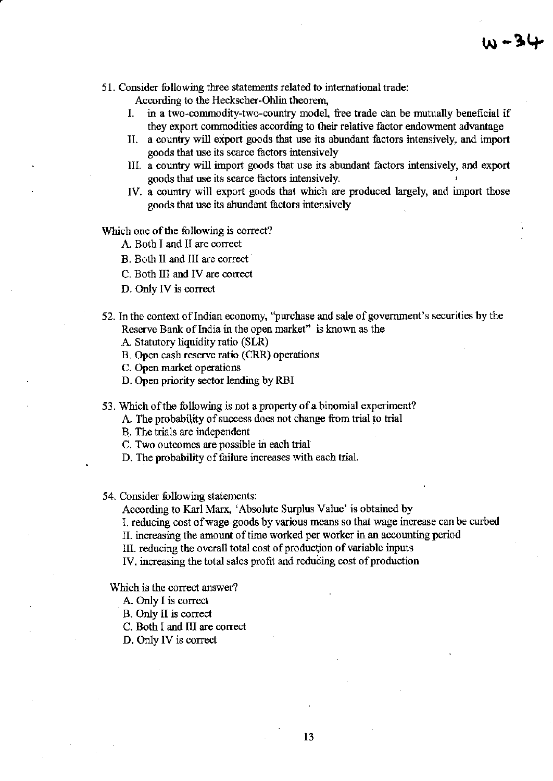51. Consider following three statements related to international trade:

According to the Heckscher-Ohlin theorem,

- 1. in a two-commodity-two-country model, free trade can be mutually beneficial if they export commodities according to their relative factor endowment advantage
- II. a country will export goods that use its abundant factors intensively, and import goods that use its scarce factors intensively
- HI. a country will import goods that use its abundant factors intensively, and export goods that use its scarce factors intensively.
- IV. a country will export goods that which are produced largely, and import those goods that use its abundant factors intensively

Which one of the following is correct?

- A. Both I and II are correct
- B. Both II and III are correct
- C. Both III and IV are correct
- D. Only IV is correct
- 52. In the context of Indian economy, "purchase and sale of government's securities by the Reserve Bank of India in the open market" is known as the

A. Statutory liquidity ratio (SLR)

- B. Open cash reserve ratio (CRR) operations
- C. Open market operations
- D. Open priority sector lending by RBI
- 53. Which of the following is not a property of a binomial experiment?
	- A. The probability of success does not change from trial to trial
		- B. The trials are independent
	- C. Two outcomes are possible in each trial
	- D. The probability of failure increases with each trial.

54. Consider following statements:

According to Karl Marx, 'Absolute Surplus Value' is obtained by

1. reducing cost of wage-goods by various means so that wage increase can be curbed

11. increasing the amount oftime worked per worker in an accounting period

Ill. reducing the overall total cost of production of variable inputs

IV. increasing the total sales profit and reducing cost of production

Which is the correct answer?

- A. Only I is correct
- B. Only II is correct
- C. Both I and III are correct
- D. Only IV is correct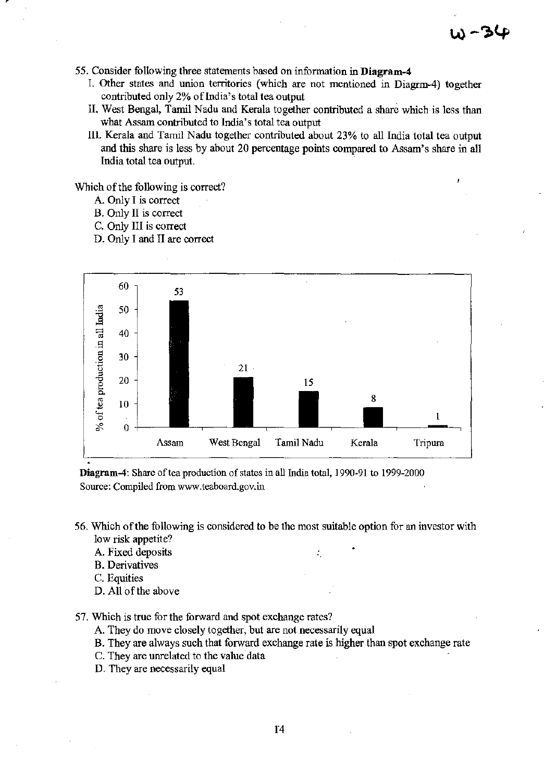- 55. Consider following three statements based on information in **Diagram-4** 
	- I. Other states and union territories (which are not mentioned in Diagrm-4) together contributed only 2% of India's total tea output
	- II. West Bengal, Tamil Nadu and Kerala together contributed a share which is less than what Assam contributed to India's total tea output
	- 111. Kerala and Tamil Nadu together contnbuted about 23% to all India total tea output and this share is less by about 20 percentage points compared to Assam's share in all India total tea output.

Which of the following is correct?

- A. Only I is correct
- B. Only II is correct
- C. Only III is correct
- D. Only I and II are correct



Diagram-4: Share of tea production of states in all mdia total, 1990·91 to 1999-2000 Source: Compiled from www,teaboard,gov.in

- 56. Which of the following is considered to be the most suitable option for an investor with low risk appetite?
	- A. Fixed deposits
	- B. Derivatives
	- C. Equities
	- D. All of the above
- 57. Which is true for the forward and spot exchange rates?
	- A. They do move closely together, but are not necessarily equal
	- B. They are always such that forward exchange rate is higher than spot exchange rate
	- C. They are unrelated to the value data
	- D. They are necessarily equal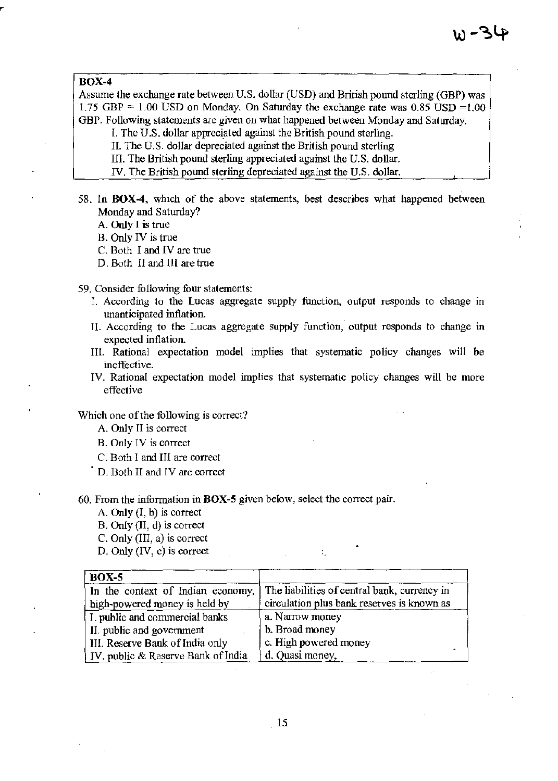#### BOX-4

Assume the exchange rate between U.S. dollar (USD) and British pound sterling (GBP) was 1.75 GBP  $= 1.00$  USD on Monday. On Saturday the exchange rate was 0.85 USD  $= 1.00$ GBP. Following statements are given on what happened between Monday and Saturday.

- l. The U.S. dollar appreciated against the British pound sterling.
- II. The U.S. dollar depreciated against the British pound sterling
- III. The British pound sterling appreciated against the U.S. dollar.
- IV, The British pound sterling depreciated against the U.S. dollar.
- 58. In BOX-4, which of the above statements, best describes what happened between Monday and Saturday?
	- A. Only I is true
	- B. Only IV is true
	- C. Both I and IV are true
	- D. Both II and III are true
- 59. Consider following four statements:
	- I. According to the Lucas aggregate supply function, output responds to change in unanticipated inflation.
	- n. According to the Lucas aggregate supply function, output responds to change in expected inflation.
	- III. Rational expectation model implies that systematic policy changes will be ineffective.
	- IV. Rational expectation model implies that systematic policy changes will be more effective

Which one of the following is correct?

- A. Only II is correct
- B. Only IV is correct
- C. Both I and III are correct
- . D. Both II and IV are correct

60. From the information in BOX-5 given below, select the correct pair.

- A. Only (I. b) is correct
- B. Only (II, d) is correct
- c. Only (111, a) is correct
- D. Only (IV, c) is correct

| <b>BOX-5</b>                       |                                              |  |
|------------------------------------|----------------------------------------------|--|
| In the context of Indian economy,  | The liabilities of central bank, currency in |  |
| high-powered money is held by      | circulation plus bank reserves is known as   |  |
| I. public and commercial banks     | a. Narrow money                              |  |
| II. public and government          | b. Broad money                               |  |
| III. Reserve Bank of India only    | c. High powered money                        |  |
| IV. public & Reserve Bank of India | d. Quasi money,                              |  |

..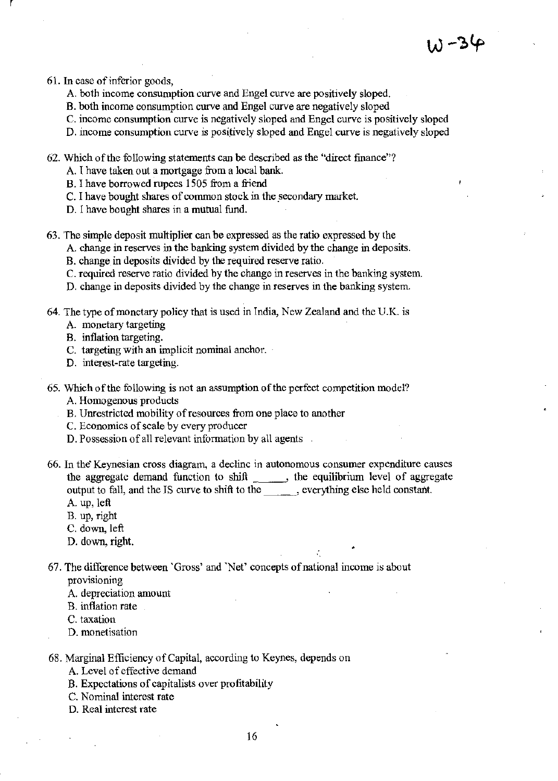61. In case of inferior goods,

r,

- A. both income consumption curve and Engel curve are positively sloped.
- B. both income consumption curve and Engel curve are negatively sloped

C. income consumption curve is negatively sloped and Engel curve is positively sloped

- D. income consumption curve is positively sloped and Engel curve is negatively sloped
- 62. Which of the following statements can be described as the "direct finance"?

A 1 have taken out a mortgage from a local bank.

- B. I have borrowed rupees 1505 from a friend
- C. I have bought shares of common stock in the secondary market.
- D. I have bought shares in a mutual fund.
- 63. The simple deposit multiplier can be expressed as the ratio expressed by the

A. change in reserves in the banking system divided by the change in deposits.

- B. change in deposits divided by the required reserve ratio.
- C. required reserve ratio divided by the change in reserves in the banking system.
- D. change in deposits divided by the change in reserves in the banking system.
- 64. The type of monetary policy that is used in India, New Zealand and the U.K. is
	- A. monetary targeting
	- B. inflation targeting.
	- C. targeting with an implicit nominal anchor.
	- D. interest-rate targeting.
- 65. Which of the following is not an assumption of the perfect competition model?
	- A. Homogenous products
	- B. Unrestricted mobility of resources from one place to another
	- C. Economics of scale by every producer
	- D. Possession of all relevant information by all agents
- 66. In the" Keynesian cross diagram, a declinc in autonomous consumer expenditure causes the aggregate demand function to shift \_\_\_\_\_\_, the equilibrium level of aggregate output to fall, and the IS curve to shift to the , everything else held constant. A. up, left
	-
	- B. up, right
	- C. down, left
	- D. down, right.
- 67. The difference between 'Gross' and 'Net' concepts of national income is about provisioning
	- A. depreciation amount
	- B. inflation rate
	- C. taxation
	- D. monetisation
- 68. Marginal Efficiency of Capital, according to Keynes, depends on
	- A. Level of effective demand
	- B. Expectations of capitalists over profitability
	- C. Nominal interest rate
	- D. Real interest rate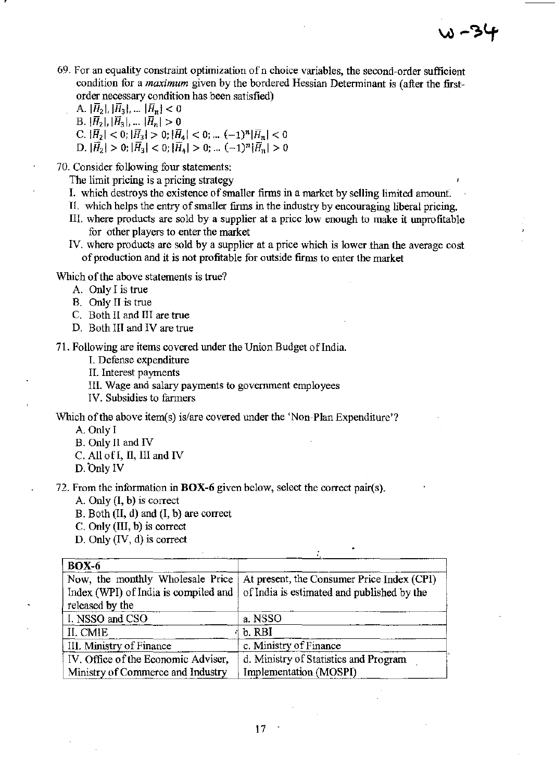**69. For an equality constraint optimization ofn choice variables, the second-order sufficient condition for a** *maximum* **given by the bordered Hessian Detenninant is (after the firstorder necessary condition has been satisfied)** 

) ~ 3

A.  $|\bar{H}_2|, |\bar{H}_3|, ... |\bar{H}_n| < 0$ B.  $|\bar{H}_2|, |\bar{H}_3|, \dots |\bar{H}_n| > 0$ C.  $|\overline{H}_2| < 0$ ;  $|\overline{H}_3| > 0$ ;  $|\overline{H}_4| < 0$ ; ...  $(-1)^n |\overline{H}_n| < 0$ D.  $|\overline{H}_2| > 0$ ;  $|\overline{H}_3| < 0$ ;  $|\overline{H}_4| > 0$ ; ...  $(-1)^n |\overline{H}_n| > 0$ 

**70. Consider following four statements:** 

**The limit pricing is a pricing strategy** 

- **1. which destroys the existence of smaller firms in a market by selling limited amount.**
- II. which helps the entry of smaller firms in the industry by encouraging liberal pricing.
- **III. where products are sold by a supplier at a price low enough to make it unprofitable for other players to enter the market**
- **IV. where products are sold by a supplier at a price which is lower than the average cost of production and it is not profitable for outside firms to enter the market**

Which of the above statements is true?

- **A. Only I is true**
- **B. Only II is true**

C. Both II and 1II are true

D. Both III and IV are true

**71. Following are items covered under the Union Budget ofIndia.** 

**L Defense expenditure** 

**II. Interest payments** 

**Ill. Wage and salary payments to government employees** 

**IV. Subsidies to farmers** 

Which of the above item(s) is/are covered under the 'Non-Plan Expenditure'?

A. Only I

- B. Only 11 and IV
- C. All of I, II, 1II and IV
- D. Only IV

**72. From the information in BOX-6 given below, select the correct pair(s).** 

A. Only (I, b) is correct

B. Both (II, d) and (I, b) are correct

C. Only (1II, b) is correct

D. Only (IV, d) is correct

| <b>BOX-6</b>                                                                                |                                                                                          |  |
|---------------------------------------------------------------------------------------------|------------------------------------------------------------------------------------------|--|
| Now, the monthly Wholesale Price<br>Index (WPI) of India is compiled and<br>released by the | At present, the Consumer Price Index (CPI)<br>of India is estimated and published by the |  |
| I. NSSO and CSO                                                                             | a. NSSO                                                                                  |  |
| <b>II. CMIE</b>                                                                             | b. RBI                                                                                   |  |
| III. Ministry of Finance                                                                    | c. Ministry of Finance                                                                   |  |
| IV. Office of the Economic Adviser,                                                         | d. Ministry of Statistics and Program                                                    |  |
| Ministry of Commerce and Industry                                                           | Implementation (MOSPI)                                                                   |  |

÷.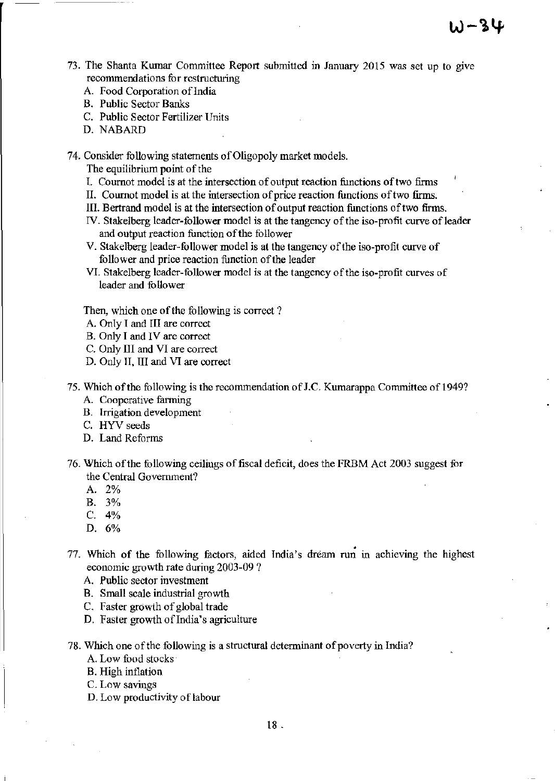- 73. The Shanta Kumar Committee Report submitted in January 2015 was set up to give recommendations for restructuring
	- A. Food Corporation of India
	- B. Public Sector Banks
	- C. Public Sector Fertilizer Units
	- D. NABARD

74. Consider following statements of Oligopoly market models.

The equilibrium point of the

- I. Cournot model is at the intersection of output reaction functions of two firms
- II. Cournot model is at the intersection of price reaction functions of two firms.
- III. Bertrand model is at the intersection of output reaction functions of two firms.
- IV. Stakelberg leader-follower model is at the tangency of the iso-profit curve of leader and output reaction function of the follower
- V. Stakelberg leader-follower model is at the tangency of the iso-profit curve of follower and price reaction function of the leader
- VI. Stakelberg leader-follower model is at the tangency of the iso-profit curves of leader and follower

Then, which one of the following is correct?

- A. Only 1 and III are correct
- B. Only I and IV are correct
- C. Only III and VI are correct
- D. Only II, III and VI are correct
- 75. Which of the following is the recommendation of J.C. Kumarappa Committee of 1949?
	- A. Cooperative farming
	- B. Irrigation development
	- C. HYV seeds
	- D. Land Rcforms
- 76. Which of the following ceilings of fiscal deficit, does the FRBM Act 2003 suggest fur the Central Government?
	- A. 2%
	- B. 3%
	- C. 4%
	- D. 6%
- 77. Which of the following factors, aided India's dream run in achieving the highest economic growth rate during 2003-09 ?
	- A. Public sector investment
	- B. Small scale industrial growth
	- C. Faster growth of global trade
	- D. Faster growth of India's agriculture
- 78. Which one of the following is a structural determinant of poverty in India?
	- A. Low food stocks
	- B. High inflation
	- c. Low savings
	- D. Low productivity of labour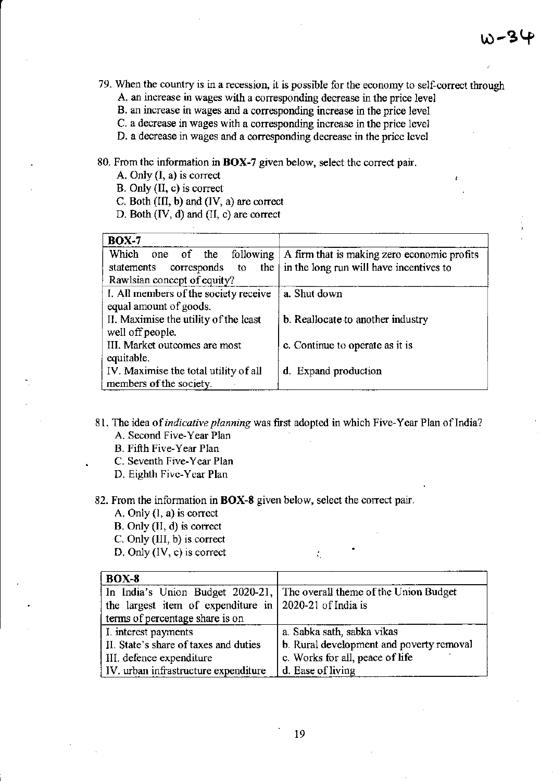- 79. When the country is in a recession, it is possible for the economy to self-correct through
	- A. an increase in wages with a corresponding decrease in the price level

B. an increase in wages and a corresponding increase in the price level

- C. a decrease in wages with a corresponding increase in the price level
- D. a decrease in wages and a corresponding decrease in the price level

80. From the information in **BOX-7** given below, select thc correct pair.

A. Only (I, a) is correct

B. *Only* (II, c) is correct

- C. Both (III, b) and (IV, a) are correct
- D. Both (IV, d) and (II, c) are correct

| <b>BOX-7</b>                          |                                             |
|---------------------------------------|---------------------------------------------|
| Which one of<br>following<br>the      | A firm that is making zero economic profits |
| the<br>corresponds to<br>statements   | in the long run will have incentives to     |
| Rawlsian concept of equity?           |                                             |
| I. All members of the society receive | a. Shut down                                |
| equal amount of goods.                |                                             |
| II. Maximise the utility of the least | b. Reallocate to another industry           |
| well off people.                      |                                             |
| III. Market outcomes are most         | c. Continue to operate as it is             |
| equitable.                            |                                             |
| IV. Maximise the total utility of all | d. Expand production                        |
| members of the society.               |                                             |

- 81. The idea of *indicative planning* was first adopted in which Five-Year Plan of India? A. Second Five-Year Plan
	- B. Fifth Five-Year Plan
	- C. Seventh Five-Year Plan
	- D. Eighth Five-Year Plan

82. From the information in **BOX-8** given below, select the correct pair.

- A. Only (l, a) is correct
- B. *Only* (II, d) is correct
- C. Only (III, b) is correct
- D. Only (IV, c) is correct

| <b>BOX-8</b>                                             |                                                                        |  |
|----------------------------------------------------------|------------------------------------------------------------------------|--|
|                                                          | In India's Union Budget 2020-21, The overall theme of the Union Budget |  |
| the largest item of expenditure in   2020-21 of India is |                                                                        |  |
| terms of percentage share is on                          |                                                                        |  |
| I. interest payments                                     | a. Sabka sath, sabka vikas                                             |  |
| II. State's share of taxes and duties                    | b. Rural development and poverty removal                               |  |
| III. defence expenditure                                 | c. Works for all, peace of life                                        |  |
| IV. urban infrastructure expenditure                     | d. Ease of living                                                      |  |

÷.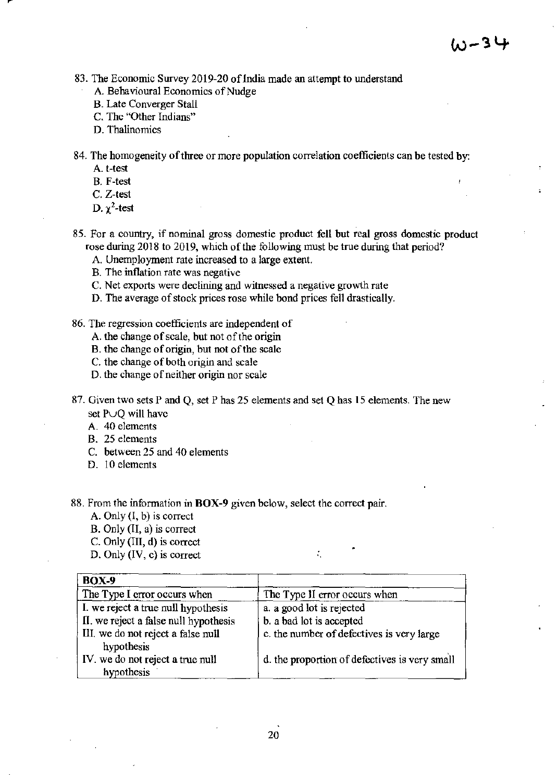83. The Economic Survey 2019-20 of India made an attempt to understand

- A. Behavioural Economics of Nudge
- B. Late Converger Stall
- C. The "Other Indians"
- D. Thalinomics

84. The homogeneity of three or more population correlation coefficients can be tested by:

- A. t-test
- B. F-test
- C. Z-test
- D.  $\gamma^2$ -test
- 85. For a country, if nominal gross domestic product fell but real gross domestic product rose during 2018 to 2019, which of the following must be true during that period?
	- A. Unemployment rate increased to a large extent.
	- B. The inflation rate was negative
	- C. Net exports were declining and witnessed a negative growth rate
	- D. The average of stock prices rose while bond prices fell drastically.
- 86. The regression coetficients are independent of
	- A. the change of scale, but not of the origin
	- B. the change of origin, but not of the scale
	- C. the change of both origin and scale
	- D. the change of neither origin nor scale
- 87. Given two sets P and Q, set P has 25 elements and set Q has 15 elements. The new set PUQ will have
	- A. 40 elements
	- B. 25 elements
	- C. between 25 and 40 elements
	- D. 10 elements

88. From the information in **BOX-9** given below, select the correct pair.

- A. Only (I, b) is correct
- B. Only (II, a) is correct
- C. Only (III, d) is correct
- D. Only (IV, c) is correct

| <b>BOX-9</b>                          |                                               |
|---------------------------------------|-----------------------------------------------|
| The Type I error occurs when          | The Type II error occurs when                 |
| I. we reject a true null hypothesis   | a. a good lot is rejected                     |
| II. we reject a false null hypothesis | b. a bad lot is accepted                      |
| III. we do not reject a false null    | c. the number of defectives is very large     |
| hypothesis                            |                                               |
| IV. we do not reject a true null      | d. the proportion of defectives is very small |
| hypothesis                            |                                               |

÷.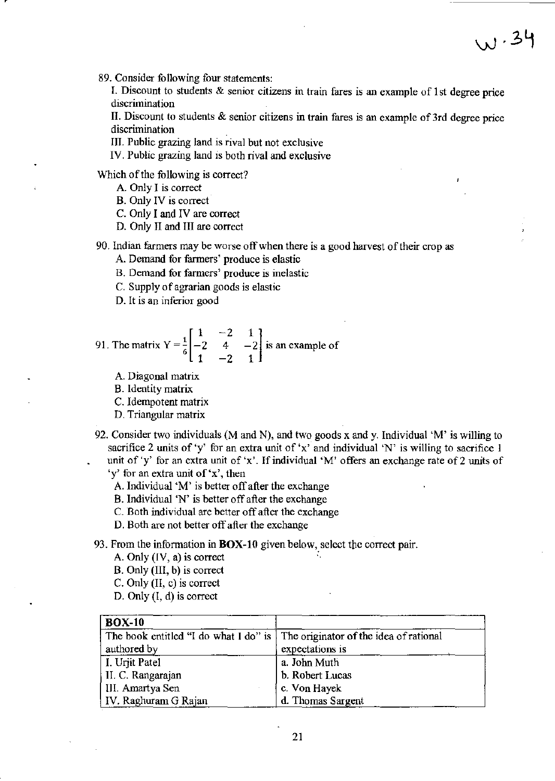89. Consider following four statements:

I. Discount to students  $\&$  senior citizens in train fares is an example of 1st degree price discrimination

 $w.34$ 

II. Discount to students & senior citizens in train fares is an example of 3rd degree price discrimination

III. Public grazing land is rival but not exclusive

IV. Public grazing land is both rival and exclusive

Which of the following is correct?

- A. Only I is correct
- B. Only IV is correct
- C. Only I and IV are correct
- D. Only II and III are correct

90. Indian farmers may be worse off when there is a good harvest of their crop as

A. Demand for farmers' produce is elastic

- B. Demand for farmers' produce is inelastic
- C. Supply of agrarian goods is elastic
- D. It is an inferior good

91. The matrix 
$$
Y = \frac{1}{6} \begin{bmatrix} 1 & -2 & 1 \\ -2 & 4 & -2 \\ 1 & -2 & 1 \end{bmatrix}
$$
 is an example of

A. Diagonal matrix

B. Identity matrix

C. Idempotent matrix

D. Triangular matrix

92. Consider two individuals (M and N), and two goods x and y. Individual 'M' is willing to sacrifice 2 units of 'y' for an extra unit of 'x' and individual 'N' is willing to sacrifice 1 unit of 'y' for an extra unit of 'x'. If individual 'M' offers an exchange rate of 2 units of 'y' for an extra unit of 'x', then

A. Individual 'M' is better off after the exchange

B. Individual 'N' is better off after the exchange

C. Both individual are better off after the exchange

D. Both are not better off after the exchange

93. From the information in BOX-10 given below, select the correct pair.

- A. Only  $(IV, a)$  is correct
- B. Only (III, b) is correct
- C. Only (II, c) is correct
- D. Only (I, d) is correct

| $BOX-10$                                                                     |                   |
|------------------------------------------------------------------------------|-------------------|
| The book entitled "I do what I do" is The originator of the idea of rational |                   |
| authored by                                                                  | expectations is   |
| I. Urjit Patel                                                               | a. John Muth      |
| II. C. Rangarajan                                                            | b. Robert Lucas   |
| III. Amartya Sen                                                             | c. Von Hayek      |
| IV. Raghuram G Rajan                                                         | d. Thomas Sargent |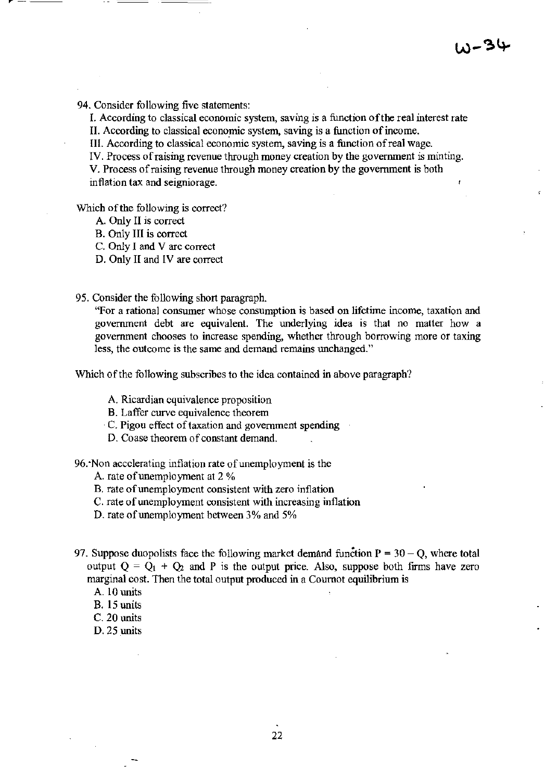94. Consider following five statements:

I. According to classical economic system, saving is a function of the real interest rate II. According to classical economic system, saving is a function of income.

Ill. According to classical economic system, saving is a function of real wage.

IV. Process of raising revenue through money creation by the government is minting.

V. Process of raising revenue through money creation by the government is both inflation tax and seigniorage.

Which of the following is correct?

- A. Only II is correct
- B. Only III is correct
- C. Only I and V arc correct
- D. Only II and IV are correct

95. Consider the following short paragraph.

"For a rational consumer whose consumption is based on lifetime income, taxation and government debt are equivalent. The underlying idea is that no matter how a government chooses to increase spending, whether through borrowing more or taxing less, the outcome is the same and demand remains unchanged."

Which of the following subscribes to the idea contained in above paragraph?

- A. Ricardian equivalence proposition
- B. Laffer curve equivalence theorem
- C. Pigou effect of taxation and government spending
- D. Coase theorem of constant demand.

96."Non accelerating inflation rate of unemployment is the

A. rate of unemployment at 2 %

- B. rate of unemployment consistent with zero inflation
- C. rate of unemployment consistent with increasing inflation
- D. rate of unemployment between 3% and 5%
- 97. Suppose duopolists face the following market demand function  $P = 30 Q$ , where total output  $Q = Q_1 + Q_2$  and P is the output price. Also, suppose both firms have zero marginal cost. Then the total output produced in a Coumot equilibrium is
	- A. 10 units
	- B. 15 units
	- C. 20 units
	- D. 25 units